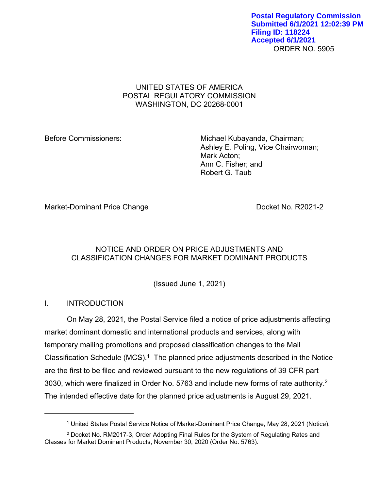ORDER NO. 5905 **Postal Regulatory Commission Submitted 6/1/2021 12:02:39 PM Filing ID: 118224 Accepted 6/1/2021**

## UNITED STATES OF AMERICA POSTAL REGULATORY COMMISSION WASHINGTON, DC 20268-0001

Before Commissioners: Michael Kubayanda, Chairman; Ashley E. Poling, Vice Chairwoman; Mark Acton; Ann C. Fisher; and Robert G. Taub

Market-Dominant Price Change **Docket No. R2021-2** 

# NOTICE AND ORDER ON PRICE ADJUSTMENTS AND CLASSIFICATION CHANGES FOR MARKET DOMINANT PRODUCTS

(Issued June 1, 2021)

# I. INTRODUCTION

<u>.</u>

On May 28, 2021, the Postal Service filed a notice of price adjustments affecting market dominant domestic and international products and services, along with temporary mailing promotions and proposed classification changes to the Mail Classification Schedule (MCS).<sup>1</sup> The planned price adjustments described in the Notice are the first to be filed and reviewed pursuant to the new regulations of 39 CFR part 3030, which were finalized in Order No. 5763 and include new forms of rate authority.2 The intended effective date for the planned price adjustments is August 29, 2021.

<sup>1</sup> United States Postal Service Notice of Market-Dominant Price Change, May 28, 2021 (Notice).

<sup>2</sup> Docket No. RM2017-3, Order Adopting Final Rules for the System of Regulating Rates and Classes for Market Dominant Products, November 30, 2020 (Order No. 5763).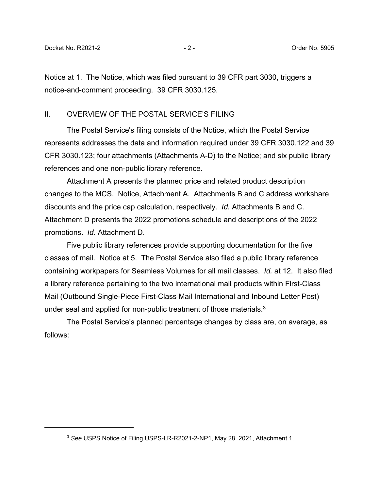$\overline{a}$ 

Notice at 1. The Notice, which was filed pursuant to 39 CFR part 3030, triggers a notice-and-comment proceeding. 39 CFR 3030.125.

## II. OVERVIEW OF THE POSTAL SERVICE'S FILING

The Postal Service's filing consists of the Notice, which the Postal Service represents addresses the data and information required under 39 CFR 3030.122 and 39 CFR 3030.123; four attachments (Attachments A-D) to the Notice; and six public library references and one non-public library reference.

Attachment A presents the planned price and related product description changes to the MCS. Notice, Attachment A. Attachments B and C address workshare discounts and the price cap calculation, respectively. *Id.* Attachments B and C. Attachment D presents the 2022 promotions schedule and descriptions of the 2022 promotions. *Id.* Attachment D.

Five public library references provide supporting documentation for the five classes of mail. Notice at 5. The Postal Service also filed a public library reference containing workpapers for Seamless Volumes for all mail classes. *Id.* at 12. It also filed a library reference pertaining to the two international mail products within First-Class Mail (Outbound Single-Piece First-Class Mail International and Inbound Letter Post) under seal and applied for non-public treatment of those materials.<sup>3</sup>

The Postal Service's planned percentage changes by class are, on average, as follows:

<sup>3</sup> *See* USPS Notice of Filing USPS-LR-R2021-2-NP1, May 28, 2021, Attachment 1.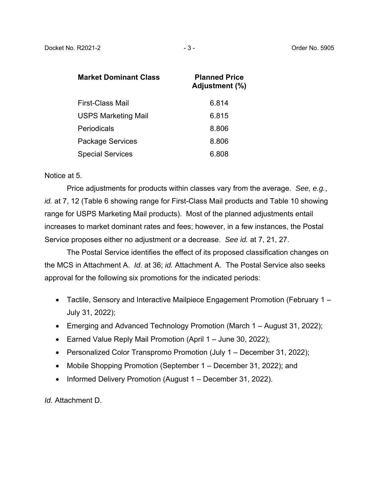| Market Dominant Class      | <b>Planned Price</b><br>Adjustment (%) |
|----------------------------|----------------------------------------|
| <b>First-Class Mail</b>    | 6.814                                  |
| <b>USPS Marketing Mail</b> | 6.815                                  |
| Periodicals                | 8.806                                  |
| <b>Package Services</b>    | 8.806                                  |
| <b>Special Services</b>    | 6.808                                  |

### Notice at 5.

Price adjustments for products within classes vary from the average. *See, e.g.*, *id.* at 7, 12 (Table 6 showing range for First-Class Mail products and Table 10 showing range for USPS Marketing Mail products). Most of the planned adjustments entail increases to market dominant rates and fees; however, in a few instances, the Postal Service proposes either no adjustment or a decrease. *See id.* at 7, 21, 27.

The Postal Service identifies the effect of its proposed classification changes on the MCS in Attachment A. *Id*. at 36; *id.* Attachment A. The Postal Service also seeks approval for the following six promotions for the indicated periods:

- Tactile, Sensory and Interactive Mailpiece Engagement Promotion (February 1 July 31, 2022);
- Emerging and Advanced Technology Promotion (March 1 August 31, 2022);
- Earned Value Reply Mail Promotion (April 1 June 30, 2022);
- Personalized Color Transpromo Promotion (July 1 December 31, 2022);
- Mobile Shopping Promotion (September 1 December 31, 2022); and
- Informed Delivery Promotion (August 1 December 31, 2022).

*Id.* Attachment D.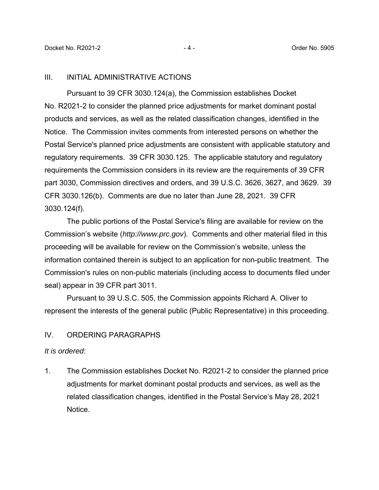#### III. INITIAL ADMINISTRATIVE ACTIONS

Pursuant to 39 CFR 3030.124(a), the Commission establishes Docket No. R2021-2 to consider the planned price adjustments for market dominant postal products and services, as well as the related classification changes, identified in the Notice. The Commission invites comments from interested persons on whether the Postal Service's planned price adjustments are consistent with applicable statutory and regulatory requirements. 39 CFR 3030.125. The applicable statutory and regulatory requirements the Commission considers in its review are the requirements of 39 CFR part 3030, Commission directives and orders, and 39 U.S.C. 3626, 3627, and 3629. 39 CFR 3030.126(b). Comments are due no later than June 28, 2021. 39 CFR 3030.124(f).

The public portions of the Postal Service's filing are available for review on the Commission's website (*http://www.prc.gov*). Comments and other material filed in this proceeding will be available for review on the Commission's website, unless the information contained therein is subject to an application for non-public treatment. The Commission's rules on non-public materials (including access to documents filed under seal) appear in 39 CFR part 3011.

Pursuant to 39 U.S.C. 505, the Commission appoints Richard A. Oliver to represent the interests of the general public (Public Representative) in this proceeding.

## IV. ORDERING PARAGRAPHS

### *It is ordered*:

1. The Commission establishes Docket No. R2021-2 to consider the planned price adjustments for market dominant postal products and services, as well as the related classification changes, identified in the Postal Service's May 28, 2021 Notice.